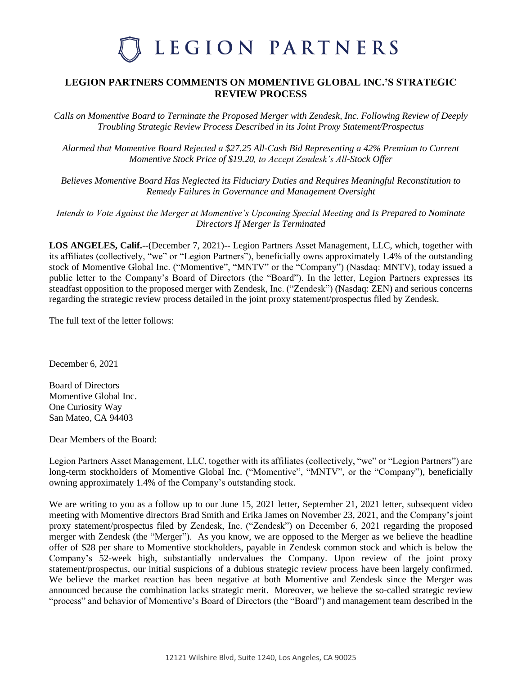### **LEGION PARTNERS COMMENTS ON MOMENTIVE GLOBAL INC.'S STRATEGIC REVIEW PROCESS**

*Calls on Momentive Board to Terminate the Proposed Merger with Zendesk, Inc. Following Review of Deeply Troubling Strategic Review Process Described in its Joint Proxy Statement/Prospectus*

*Alarmed that Momentive Board Rejected a \$27.25 All-Cash Bid Representing a 42% Premium to Current Momentive Stock Price of \$19.20, to Accept Zendesk's All-Stock Offer* 

*Believes Momentive Board Has Neglected its Fiduciary Duties and Requires Meaningful Reconstitution to Remedy Failures in Governance and Management Oversight*

*Intends to Vote Against the Merger at Momentive's Upcoming Special Meeting and Is Prepared to Nominate Directors If Merger Is Terminated*

**LOS ANGELES, Calif.**--(December 7, 2021)-- Legion Partners Asset Management, LLC, which, together with its affiliates (collectively, "we" or "Legion Partners"), beneficially owns approximately 1.4% of the outstanding stock of Momentive Global Inc. ("Momentive", "MNTV" or the "Company") (Nasdaq: MNTV), today issued a public letter to the Company's Board of Directors (the "Board"). In the letter, Legion Partners expresses its steadfast opposition to the proposed merger with Zendesk, Inc. ("Zendesk") (Nasdaq: ZEN) and serious concerns regarding the strategic review process detailed in the joint proxy statement/prospectus filed by Zendesk.

The full text of the letter follows:

December 6, 2021

Board of Directors Momentive Global Inc. One Curiosity Way San Mateo, CA 94403

Dear Members of the Board:

Legion Partners Asset Management, LLC, together with its affiliates (collectively, "we" or "Legion Partners") are long-term stockholders of Momentive Global Inc. ("Momentive", "MNTV", or the "Company"), beneficially owning approximately 1.4% of the Company's outstanding stock.

We are writing to you as a follow up to our June 15, 2021 letter, September 21, 2021 letter, subsequent video meeting with Momentive directors Brad Smith and Erika James on November 23, 2021, and the Company's joint proxy statement/prospectus filed by Zendesk, Inc. ("Zendesk") on December 6, 2021 regarding the proposed merger with Zendesk (the "Merger"). As you know, we are opposed to the Merger as we believe the headline offer of \$28 per share to Momentive stockholders, payable in Zendesk common stock and which is below the Company's 52-week high, substantially undervalues the Company. Upon review of the joint proxy statement/prospectus, our initial suspicions of a dubious strategic review process have been largely confirmed. We believe the market reaction has been negative at both Momentive and Zendesk since the Merger was announced because the combination lacks strategic merit. Moreover, we believe the so-called strategic review "process" and behavior of Momentive's Board of Directors (the "Board") and management team described in the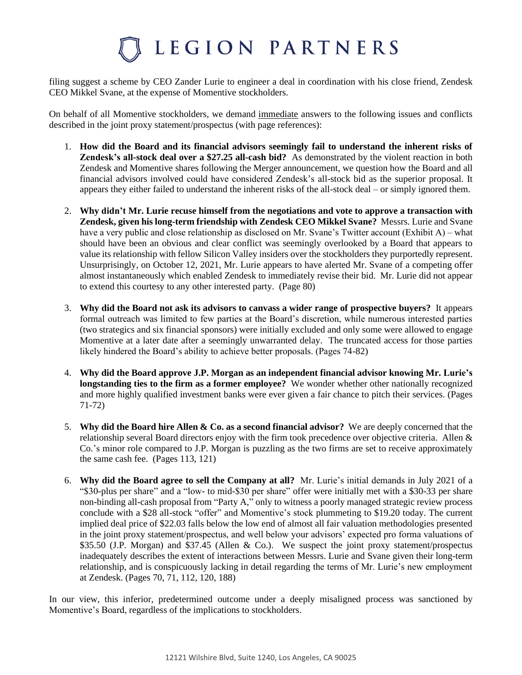filing suggest a scheme by CEO Zander Lurie to engineer a deal in coordination with his close friend, Zendesk CEO Mikkel Svane, at the expense of Momentive stockholders.

On behalf of all Momentive stockholders, we demand immediate answers to the following issues and conflicts described in the joint proxy statement/prospectus (with page references):

- 1. **How did the Board and its financial advisors seemingly fail to understand the inherent risks of Zendesk's all-stock deal over a \$27.25 all-cash bid?** As demonstrated by the violent reaction in both Zendesk and Momentive shares following the Merger announcement, we question how the Board and all financial advisors involved could have considered Zendesk's all-stock bid as the superior proposal. It appears they either failed to understand the inherent risks of the all-stock deal – or simply ignored them.
- 2. **Why didn't Mr. Lurie recuse himself from the negotiations and vote to approve a transaction with Zendesk, given his long-term friendship with Zendesk CEO Mikkel Svane?** Messrs. Lurie and Svane have a very public and close relationship as disclosed on Mr. Svane's Twitter account (Exhibit A) – what should have been an obvious and clear conflict was seemingly overlooked by a Board that appears to value its relationship with fellow Silicon Valley insiders over the stockholders they purportedly represent. Unsurprisingly, on October 12, 2021, Mr. Lurie appears to have alerted Mr. Svane of a competing offer almost instantaneously which enabled Zendesk to immediately revise their bid. Mr. Lurie did not appear to extend this courtesy to any other interested party. (Page 80)
- 3. **Why did the Board not ask its advisors to canvass a wider range of prospective buyers?** It appears formal outreach was limited to few parties at the Board's discretion, while numerous interested parties (two strategics and six financial sponsors) were initially excluded and only some were allowed to engage Momentive at a later date after a seemingly unwarranted delay. The truncated access for those parties likely hindered the Board's ability to achieve better proposals. (Pages 74-82)
- 4. **Why did the Board approve J.P. Morgan as an independent financial advisor knowing Mr. Lurie's longstanding ties to the firm as a former employee?** We wonder whether other nationally recognized and more highly qualified investment banks were ever given a fair chance to pitch their services. (Pages 71-72)
- 5. **Why did the Board hire Allen & Co. as a second financial advisor?** We are deeply concerned that the relationship several Board directors enjoy with the firm took precedence over objective criteria. Allen & Co.'s minor role compared to J.P. Morgan is puzzling as the two firms are set to receive approximately the same cash fee. (Pages 113, 121)
- 6. **Why did the Board agree to sell the Company at all?** Mr. Lurie's initial demands in July 2021 of a "\$30-plus per share" and a "low- to mid-\$30 per share" offer were initially met with a \$30-33 per share non-binding all-cash proposal from "Party A," only to witness a poorly managed strategic review process conclude with a \$28 all-stock "offer" and Momentive's stock plummeting to \$19.20 today. The current implied deal price of \$22.03 falls below the low end of almost all fair valuation methodologies presented in the joint proxy statement/prospectus, and well below your advisors' expected pro forma valuations of \$35.50 (J.P. Morgan) and \$37.45 (Allen & Co.). We suspect the joint proxy statement/prospectus inadequately describes the extent of interactions between Messrs. Lurie and Svane given their long-term relationship, and is conspicuously lacking in detail regarding the terms of Mr. Lurie's new employment at Zendesk. (Pages 70, 71, 112, 120, 188)

In our view, this inferior, predetermined outcome under a deeply misaligned process was sanctioned by Momentive's Board, regardless of the implications to stockholders.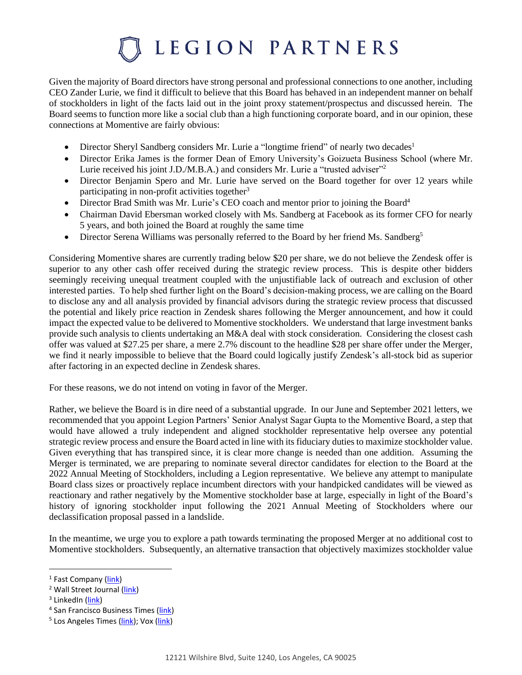Given the majority of Board directors have strong personal and professional connections to one another, including CEO Zander Lurie, we find it difficult to believe that this Board has behaved in an independent manner on behalf of stockholders in light of the facts laid out in the joint proxy statement/prospectus and discussed herein. The Board seems to function more like a social club than a high functioning corporate board, and in our opinion, these connections at Momentive are fairly obvious:

- Director Sheryl Sandberg considers Mr. Lurie a "longtime friend" of nearly two decades<sup>1</sup>
- Director Erika James is the former Dean of Emory University's Goizueta Business School (where Mr. Lurie received his joint J.D./M.B.A.) and considers Mr. Lurie a "trusted adviser"<sup>2</sup>
- Director Benjamin Spero and Mr. Lurie have served on the Board together for over 12 years while participating in non-profit activities together<sup>3</sup>
- Director Brad Smith was Mr. Lurie's CEO coach and mentor prior to joining the Board<sup>4</sup>
- Chairman David Ebersman worked closely with Ms. Sandberg at Facebook as its former CFO for nearly 5 years, and both joined the Board at roughly the same time
- Director Serena Williams was personally referred to the Board by her friend Ms. Sandberg<sup>5</sup>

Considering Momentive shares are currently trading below \$20 per share, we do not believe the Zendesk offer is superior to any other cash offer received during the strategic review process. This is despite other bidders seemingly receiving unequal treatment coupled with the unjustifiable lack of outreach and exclusion of other interested parties. To help shed further light on the Board's decision-making process, we are calling on the Board to disclose any and all analysis provided by financial advisors during the strategic review process that discussed the potential and likely price reaction in Zendesk shares following the Merger announcement, and how it could impact the expected value to be delivered to Momentive stockholders. We understand that large investment banks provide such analysis to clients undertaking an M&A deal with stock consideration. Considering the closest cash offer was valued at \$27.25 per share, a mere 2.7% discount to the headline \$28 per share offer under the Merger, we find it nearly impossible to believe that the Board could logically justify Zendesk's all-stock bid as superior after factoring in an expected decline in Zendesk shares.

For these reasons, we do not intend on voting in favor of the Merger.

Rather, we believe the Board is in dire need of a substantial upgrade. In our June and September 2021 letters, we recommended that you appoint Legion Partners' Senior Analyst Sagar Gupta to the Momentive Board, a step that would have allowed a truly independent and aligned stockholder representative help oversee any potential strategic review process and ensure the Board acted in line with its fiduciary duties to maximize stockholder value. Given everything that has transpired since, it is clear more change is needed than one addition. Assuming the Merger is terminated, we are preparing to nominate several director candidates for election to the Board at the 2022 Annual Meeting of Stockholders, including a Legion representative. We believe any attempt to manipulate Board class sizes or proactively replace incumbent directors with your handpicked candidates will be viewed as reactionary and rather negatively by the Momentive stockholder base at large, especially in light of the Board's history of ignoring stockholder input following the 2021 Annual Meeting of Stockholders where our declassification proposal passed in a landslide.

In the meantime, we urge you to explore a path towards terminating the proposed Merger at no additional cost to Momentive stockholders. Subsequently, an alternative transaction that objectively maximizes stockholder value

<sup>&</sup>lt;sup>1</sup> Fast Company (<mark>link</mark>)

<sup>&</sup>lt;sup>2</sup> Wall Street Journal [\(link\)](https://www.wsj.com/articles/who-taught-whartons-business-school-dean-some-important-life-lessons-11610773250)

<sup>&</sup>lt;sup>3</sup> LinkedIn (<mark>link</mark>)

<sup>&</sup>lt;sup>4</sup> San Francisco Business Times [\(link\)](https://www.bizjournals.com/sanfrancisco/news/2019/09/05/survey-monkey-zander-lurie-svmk-executive-profile.html)

<sup>&</sup>lt;sup>5</sup> Los Angeles Times (<u>link</u>); Vox (<u>link</u>)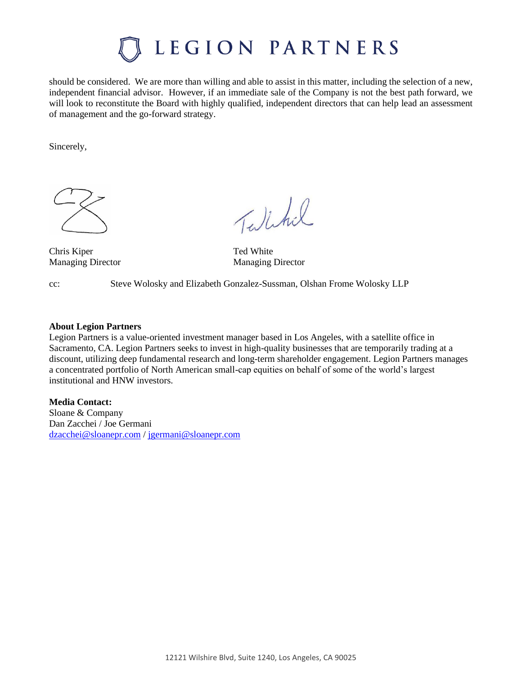should be considered. We are more than willing and able to assist in this matter, including the selection of a new, independent financial advisor. However, if an immediate sale of the Company is not the best path forward, we will look to reconstitute the Board with highly qualified, independent directors that can help lead an assessment of management and the go-forward strategy.

Sincerely,



Chris Kiper Ted White

Talchil

Managing Director Managing Director

cc: Steve Wolosky and Elizabeth Gonzalez-Sussman, Olshan Frome Wolosky LLP

### **About Legion Partners**

Legion Partners is a value-oriented investment manager based in Los Angeles, with a satellite office in Sacramento, CA. Legion Partners seeks to invest in high-quality businesses that are temporarily trading at a discount, utilizing deep fundamental research and long-term shareholder engagement. Legion Partners manages a concentrated portfolio of North American small-cap equities on behalf of some of the world's largest institutional and HNW investors.

**Media Contact:** 

Sloane & Company Dan Zacchei / Joe Germani [dzacchei@sloanepr.com](mailto:dzacchei@sloanepr.com) [/ jgermani@sloanepr.com](mailto:jgermani@sloanepr.com)